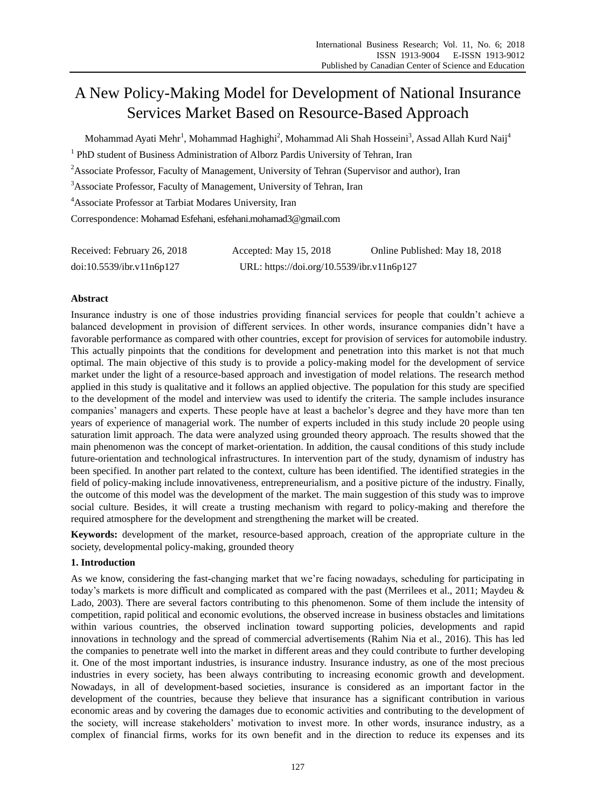# A New Policy-Making Model for Development of National Insurance Services Market Based on Resource-Based Approach

Mohammad Ayati Mehr $^{\rm l}$ , Mohammad Haghighi $^{\rm 2}$ , Mohammad Ali Shah Hosseini $^{\rm 3}$ , Assad Allah Kurd Naij $^{\rm 4}$ 

<sup>1</sup> PhD student of Business Administration of Alborz Pardis University of Tehran, Iran

<sup>2</sup>Associate Professor, Faculty of Management, University of Tehran (Supervisor and author), Iran

<sup>3</sup>Associate Professor, Faculty of Management, University of Tehran, Iran

<sup>4</sup>Associate Professor at Tarbiat Modares University, Iran

Correspondence: Mohamad Esfehani, esfehani.mohamad3@gmail.com

| Received: February 26, 2018 | Accepted: May 15, 2018                     | Online Published: May 18, 2018 |
|-----------------------------|--------------------------------------------|--------------------------------|
| doi:10.5539/ibr.v11n6p127   | URL: https://doi.org/10.5539/ibr.v11n6p127 |                                |

#### **Abstract**

Insurance industry is one of those industries providing financial services for people that couldn't achieve a balanced development in provision of different services. In other words, insurance companies didn't have a favorable performance as compared with other countries, except for provision of services for automobile industry. This actually pinpoints that the conditions for development and penetration into this market is not that much optimal. The main objective of this study is to provide a policy-making model for the development of service market under the light of a resource-based approach and investigation of model relations. The research method applied in this study is qualitative and it follows an applied objective. The population for this study are specified to the development of the model and interview was used to identify the criteria. The sample includes insurance companies' managers and experts. These people have at least a bachelor's degree and they have more than ten years of experience of managerial work. The number of experts included in this study include 20 people using saturation limit approach. The data were analyzed using grounded theory approach. The results showed that the main phenomenon was the concept of market-orientation. In addition, the causal conditions of this study include future-orientation and technological infrastructures. In intervention part of the study, dynamism of industry has been specified. In another part related to the context, culture has been identified. The identified strategies in the field of policy-making include innovativeness, entrepreneurialism, and a positive picture of the industry. Finally, the outcome of this model was the development of the market. The main suggestion of this study was to improve social culture. Besides, it will create a trusting mechanism with regard to policy-making and therefore the required atmosphere for the development and strengthening the market will be created.

**Keywords:** development of the market, resource-based approach, creation of the appropriate culture in the society, developmental policy-making, grounded theory

# **1. Introduction**

As we know, considering the fast-changing market that we're facing nowadays, scheduling for participating in today's markets is more difficult and complicated as compared with the past (Merrilees et al., 2011; Maydeu & Lado, 2003). There are several factors contributing to this phenomenon. Some of them include the intensity of competition, rapid political and economic evolutions, the observed increase in business obstacles and limitations within various countries, the observed inclination toward supporting policies, developments and rapid innovations in technology and the spread of commercial advertisements (Rahim Nia et al., 2016). This has led the companies to penetrate well into the market in different areas and they could contribute to further developing it. One of the most important industries, is insurance industry. Insurance industry, as one of the most precious industries in every society, has been always contributing to increasing economic growth and development. Nowadays, in all of development-based societies, insurance is considered as an important factor in the development of the countries, because they believe that insurance has a significant contribution in various economic areas and by covering the damages due to economic activities and contributing to the development of the society, will increase stakeholders' motivation to invest more. In other words, insurance industry, as a complex of financial firms, works for its own benefit and in the direction to reduce its expenses and its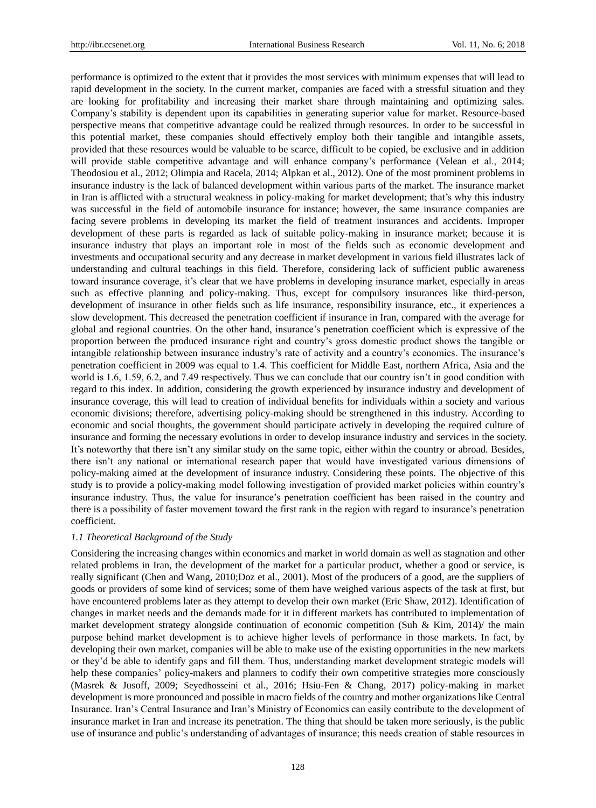performance is optimized to the extent that it provides the most services with minimum expenses that will lead to rapid development in the society. In the current market, companies are faced with a stressful situation and they are looking for profitability and increasing their market share through maintaining and optimizing sales. Company's stability is dependent upon its capabilities in generating superior value for market. Resource-based perspective means that competitive advantage could be realized through resources. In order to be successful in this potential market, these companies should effectively employ both their tangible and intangible assets, provided that these resources would be valuable to be scarce, difficult to be copied, be exclusive and in addition will provide stable competitive advantage and will enhance company's performance (Velean et al., 2014; Theodosiou et al., 2012; Olimpia and Racela, 2014; Alpkan et al., 2012). One of the most prominent problems in insurance industry is the lack of balanced development within various parts of the market. The insurance market in Iran is afflicted with a structural weakness in policy-making for market development; that's why this industry was successful in the field of automobile insurance for instance; however, the same insurance companies are facing severe problems in developing its market the field of treatment insurances and accidents. Improper development of these parts is regarded as lack of suitable policy-making in insurance market; because it is insurance industry that plays an important role in most of the fields such as economic development and investments and occupational security and any decrease in market development in various field illustrates lack of understanding and cultural teachings in this field. Therefore, considering lack of sufficient public awareness toward insurance coverage, it's clear that we have problems in developing insurance market, especially in areas such as effective planning and policy-making. Thus, except for compulsory insurances like third-person, development of insurance in other fields such as life insurance, responsibility insurance, etc., it experiences a slow development. This decreased the penetration coefficient if insurance in Iran, compared with the average for global and regional countries. On the other hand, insurance's penetration coefficient which is expressive of the proportion between the produced insurance right and country's gross domestic product shows the tangible or intangible relationship between insurance industry's rate of activity and a country's economics. The insurance's penetration coefficient in 2009 was equal to 1.4. This coefficient for Middle East, northern Africa, Asia and the world is 1.6, 1.59, 6.2, and 7.49 respectively. Thus we can conclude that our country isn't in good condition with regard to this index. In addition, considering the growth experienced by insurance industry and development of insurance coverage, this will lead to creation of individual benefits for individuals within a society and various economic divisions; therefore, advertising policy-making should be strengthened in this industry. According to economic and social thoughts, the government should participate actively in developing the required culture of insurance and forming the necessary evolutions in order to develop insurance industry and services in the society. It's noteworthy that there isn't any similar study on the same topic, either within the country or abroad. Besides, there isn't any national or international research paper that would have investigated various dimensions of policy-making aimed at the development of insurance industry. Considering these points. The objective of this study is to provide a policy-making model following investigation of provided market policies within country's insurance industry. Thus, the value for insurance's penetration coefficient has been raised in the country and there is a possibility of faster movement toward the first rank in the region with regard to insurance's penetration coefficient.

#### *1.1 Theoretical Background of the Study*

Considering the increasing changes within economics and market in world domain as well as stagnation and other related problems in Iran, the development of the market for a particular product, whether a good or service, is really significant (Chen and Wang, 2010;Doz et al., 2001). Most of the producers of a good, are the suppliers of goods or providers of some kind of services; some of them have weighed various aspects of the task at first, but have encountered problems later as they attempt to develop their own market (Eric Shaw, 2012). Identification of changes in market needs and the demands made for it in different markets has contributed to implementation of market development strategy alongside continuation of economic competition (Suh & Kim, 2014)/ the main purpose behind market development is to achieve higher levels of performance in those markets. In fact, by developing their own market, companies will be able to make use of the existing opportunities in the new markets or they'd be able to identify gaps and fill them. Thus, understanding market development strategic models will help these companies' policy-makers and planners to codify their own competitive strategies more consciously (Masrek & Jusoff, 2009; Seyedhosseini et al., 2016; Hsiu-Fen & Chang, 2017) policy-making in market development is more pronounced and possible in macro fields of the country and mother organizations like Central Insurance. Iran's Central Insurance and Iran's Ministry of Economics can easily contribute to the development of insurance market in Iran and increase its penetration. The thing that should be taken more seriously, is the public use of insurance and public's understanding of advantages of insurance; this needs creation of stable resources in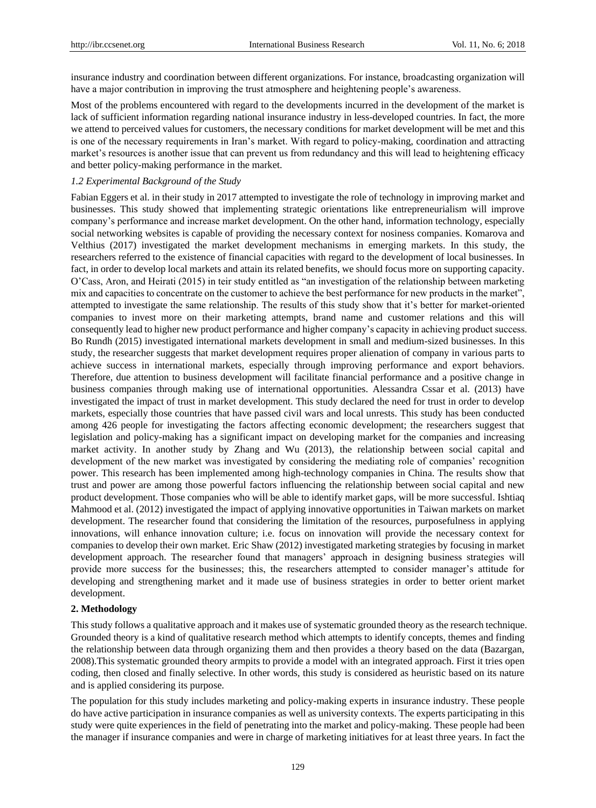insurance industry and coordination between different organizations. For instance, broadcasting organization will have a major contribution in improving the trust atmosphere and heightening people's awareness.

Most of the problems encountered with regard to the developments incurred in the development of the market is lack of sufficient information regarding national insurance industry in less-developed countries. In fact, the more we attend to perceived values for customers, the necessary conditions for market development will be met and this is one of the necessary requirements in Iran's market. With regard to policy-making, coordination and attracting market's resources is another issue that can prevent us from redundancy and this will lead to heightening efficacy and better policy-making performance in the market.

#### *1.2 Experimental Background of the Study*

Fabian Eggers et al. in their study in 2017 attempted to investigate the role of technology in improving market and businesses. This study showed that implementing strategic orientations like entrepreneurialism will improve company's performance and increase market development. On the other hand, information technology, especially social networking websites is capable of providing the necessary context for nosiness companies. Komarova and Velthius (2017) investigated the market development mechanisms in emerging markets. In this study, the researchers referred to the existence of financial capacities with regard to the development of local businesses. In fact, in order to develop local markets and attain its related benefits, we should focus more on supporting capacity. O'Cass, Aron, and Heirati (2015) in teir study entitled as "an investigation of the relationship between marketing mix and capacities to concentrate on the customer to achieve the best performance for new products in the market", attempted to investigate the same relationship. The results of this study show that it's better for market-oriented companies to invest more on their marketing attempts, brand name and customer relations and this will consequently lead to higher new product performance and higher company's capacity in achieving product success. Bo Rundh (2015) investigated international markets development in small and medium-sized businesses. In this study, the researcher suggests that market development requires proper alienation of company in various parts to achieve success in international markets, especially through improving performance and export behaviors. Therefore, due attention to business development will facilitate financial performance and a positive change in business companies through making use of international opportunities. Alessandra Cssar et al. (2013) have investigated the impact of trust in market development. This study declared the need for trust in order to develop markets, especially those countries that have passed civil wars and local unrests. This study has been conducted among 426 people for investigating the factors affecting economic development; the researchers suggest that legislation and policy-making has a significant impact on developing market for the companies and increasing market activity. In another study by Zhang and Wu (2013), the relationship between social capital and development of the new market was investigated by considering the mediating role of companies' recognition power. This research has been implemented among high-technology companies in China. The results show that trust and power are among those powerful factors influencing the relationship between social capital and new product development. Those companies who will be able to identify market gaps, will be more successful. Ishtiaq Mahmood et al. (2012) investigated the impact of applying innovative opportunities in Taiwan markets on market development. The researcher found that considering the limitation of the resources, purposefulness in applying innovations, will enhance innovation culture; i.e. focus on innovation will provide the necessary context for companies to develop their own market. Eric Shaw (2012) investigated marketing strategies by focusing in market development approach. The researcher found that managers' approach in designing business strategies will provide more success for the businesses; this, the researchers attempted to consider manager's attitude for developing and strengthening market and it made use of business strategies in order to better orient market development.

#### **2. Methodology**

This study follows a qualitative approach and it makes use of systematic grounded theory as the research technique. Grounded theory is a kind of qualitative research method which attempts to identify concepts, themes and finding the relationship between data through organizing them and then provides a theory based on the data (Bazargan, 2008).This systematic grounded theory armpits to provide a model with an integrated approach. First it tries open coding, then closed and finally selective. In other words, this study is considered as heuristic based on its nature and is applied considering its purpose.

The population for this study includes marketing and policy-making experts in insurance industry. These people do have active participation in insurance companies as well as university contexts. The experts participating in this study were quite experiences in the field of penetrating into the market and policy-making. These people had been the manager if insurance companies and were in charge of marketing initiatives for at least three years. In fact the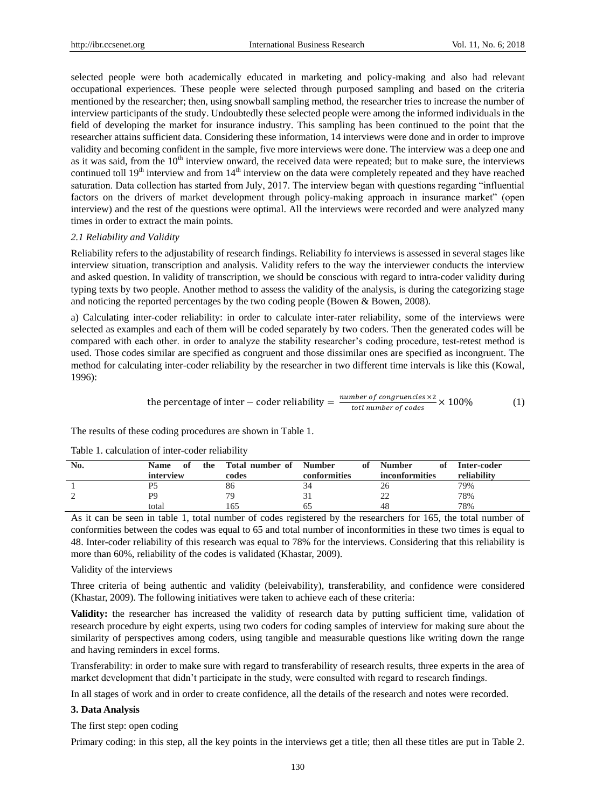selected people were both academically educated in marketing and policy-making and also had relevant occupational experiences. These people were selected through purposed sampling and based on the criteria mentioned by the researcher; then, using snowball sampling method, the researcher tries to increase the number of interview participants of the study. Undoubtedly these selected people were among the informed individuals in the field of developing the market for insurance industry. This sampling has been continued to the point that the researcher attains sufficient data. Considering these information, 14 interviews were done and in order to improve validity and becoming confident in the sample, five more interviews were done. The interview was a deep one and as it was said, from the  $10<sup>th</sup>$  interview onward, the received data were repeated; but to make sure, the interviews continued toll 19<sup>th</sup> interview and from 14<sup>th</sup> interview on the data were completely repeated and they have reached saturation. Data collection has started from July, 2017. The interview began with questions regarding "influential factors on the drivers of market development through policy-making approach in insurance market" (open interview) and the rest of the questions were optimal. All the interviews were recorded and were analyzed many times in order to extract the main points.

# *2.1 Reliability and Validity*

Reliability refers to the adjustability of research findings. Reliability fo interviews is assessed in several stages like interview situation, transcription and analysis. Validity refers to the way the interviewer conducts the interview and asked question. In validity of transcription, we should be conscious with regard to intra-coder validity during typing texts by two people. Another method to assess the validity of the analysis, is during the categorizing stage and noticing the reported percentages by the two coding people (Bowen & Bowen, 2008).

a) Calculating inter-coder reliability: in order to calculate inter-rater reliability, some of the interviews were selected as examples and each of them will be coded separately by two coders. Then the generated codes will be compared with each other. in order to analyze the stability researcher's coding procedure, test-retest method is used. Those codes similar are specified as congruent and those dissimilar ones are specified as incongruent. The method for calculating inter-coder reliability by the researcher in two different time intervals is like this (Kowal, 1996):

the percentage of inter – coder reliability = 
$$
\frac{number\ of\ congruences \times 2}{tot1\ number\ of\ codes} \times 100\%
$$
 (1)

The results of these coding procedures are shown in Table 1.

| No. | <b>Name</b><br>-of<br>interview | the Total number of Number<br>codes | of<br>conformities | <b>Number</b><br>ot<br><i>inconformities</i> | Inter-coder<br>reliability |
|-----|---------------------------------|-------------------------------------|--------------------|----------------------------------------------|----------------------------|
|     |                                 | 86                                  |                    |                                              | 79%                        |
|     | P9                              | 79                                  |                    |                                              | 78%                        |
|     | total                           | 165                                 |                    | 48                                           | 78%                        |

Table 1. calculation of inter-coder reliability

As it can be seen in table 1, total number of codes registered by the researchers for 165, the total number of conformities between the codes was equal to 65 and total number of inconformities in these two times is equal to 48. Inter-coder reliability of this research was equal to 78% for the interviews. Considering that this reliability is more than 60%, reliability of the codes is validated (Khastar, 2009).

# Validity of the interviews

Three criteria of being authentic and validity (beleivability), transferability, and confidence were considered (Khastar, 2009). The following initiatives were taken to achieve each of these criteria:

**Validity:** the researcher has increased the validity of research data by putting sufficient time, validation of research procedure by eight experts, using two coders for coding samples of interview for making sure about the similarity of perspectives among coders, using tangible and measurable questions like writing down the range and having reminders in excel forms.

Transferability: in order to make sure with regard to transferability of research results, three experts in the area of market development that didn't participate in the study, were consulted with regard to research findings.

In all stages of work and in order to create confidence, all the details of the research and notes were recorded.

# **3. Data Analysis**

The first step: open coding

Primary coding: in this step, all the key points in the interviews get a title; then all these titles are put in Table 2.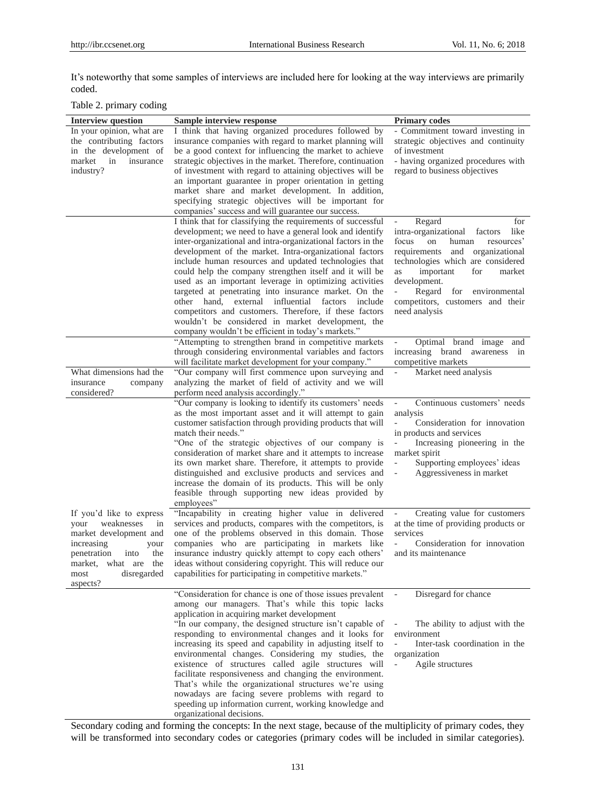It's noteworthy that some samples of interviews are included here for looking at the way interviews are primarily coded.

Table 2. primary coding

| <b>Interview question</b>                                                                                                                                                                     | Sample interview response                                                                                                                                                                                                                                                                                                                                                                                                                                                                                                                                                                                                                                                                                                        | <b>Primary codes</b>                                                                                                                                                                                                                                                                                                        |
|-----------------------------------------------------------------------------------------------------------------------------------------------------------------------------------------------|----------------------------------------------------------------------------------------------------------------------------------------------------------------------------------------------------------------------------------------------------------------------------------------------------------------------------------------------------------------------------------------------------------------------------------------------------------------------------------------------------------------------------------------------------------------------------------------------------------------------------------------------------------------------------------------------------------------------------------|-----------------------------------------------------------------------------------------------------------------------------------------------------------------------------------------------------------------------------------------------------------------------------------------------------------------------------|
| In your opinion, what are<br>the contributing factors<br>in the development of<br>market<br>in<br>insurance<br>industry?                                                                      | I think that having organized procedures followed by<br>insurance companies with regard to market planning will<br>be a good context for influencing the market to achieve<br>strategic objectives in the market. Therefore, continuation<br>of investment with regard to attaining objectives will be<br>an important guarantee in proper orientation in getting<br>market share and market development. In addition,<br>specifying strategic objectives will be important for<br>companies' success and will guarantee our success.                                                                                                                                                                                            | - Commitment toward investing in<br>strategic objectives and continuity<br>of investment<br>- having organized procedures with<br>regard to business objectives                                                                                                                                                             |
|                                                                                                                                                                                               | I think that for classifying the requirements of successful<br>development; we need to have a general look and identify<br>inter-organizational and intra-organizational factors in the<br>development of the market. Intra-organizational factors<br>include human resources and updated technologies that<br>could help the company strengthen itself and it will be<br>used as an important leverage in optimizing activities<br>targeted at penetrating into insurance market. On the<br>other hand, external influential factors include<br>competitors and customers. Therefore, if these factors<br>wouldn't be considered in market development, the<br>company wouldn't be efficient in today's markets."               | Regard<br>for<br>intra-organizational factors<br>like<br>focus<br>on<br>human<br>resources'<br>requirements<br>and organizational<br>technologies which are considered<br>important<br>for<br>market<br>as<br>development.<br>Regard<br>for<br>$\sim$<br>environmental<br>competitors, customers and their<br>need analysis |
|                                                                                                                                                                                               | "Attempting to strengthen brand in competitive markets<br>through considering environmental variables and factors                                                                                                                                                                                                                                                                                                                                                                                                                                                                                                                                                                                                                | Optimal brand image and<br>increasing brand awareness<br>in                                                                                                                                                                                                                                                                 |
| What dimensions had the<br>insurance<br>company<br>considered?                                                                                                                                | will facilitate market development for your company."<br>"Our company will first commence upon surveying and<br>analyzing the market of field of activity and we will<br>perform need analysis accordingly."                                                                                                                                                                                                                                                                                                                                                                                                                                                                                                                     | competitive markets<br>Market need analysis                                                                                                                                                                                                                                                                                 |
|                                                                                                                                                                                               | "Our company is looking to identify its customers' needs<br>as the most important asset and it will attempt to gain<br>customer satisfaction through providing products that will<br>match their needs."<br>"One of the strategic objectives of our company is<br>consideration of market share and it attempts to increase<br>its own market share. Therefore, it attempts to provide<br>distinguished and exclusive products and services and<br>increase the domain of its products. This will be only<br>feasible through supporting new ideas provided by<br>employees"                                                                                                                                                     | Continuous customers' needs<br>$\overline{\phantom{a}}$<br>analysis<br>$\equiv$<br>Consideration for innovation<br>in products and services<br>Increasing pioneering in the<br>market spirit<br>Supporting employees' ideas<br>$\overline{\phantom{a}}$<br>Aggressiveness in market<br>$\overline{\phantom{a}}$             |
| If you'd like to express<br>your<br>weaknesses<br>in<br>market development and<br>increasing<br>your<br>penetration<br>the<br>into<br>market, what are the<br>disregarded<br>most<br>aspects? | "Incapability in creating higher value in delivered<br>services and products, compares with the competitors, is<br>one of the problems observed in this domain. Those<br>companies who are participating in markets like<br>insurance industry quickly attempt to copy each others'<br>ideas without considering copyright. This will reduce our<br>capabilities for participating in competitive markets."                                                                                                                                                                                                                                                                                                                      | Creating value for customers<br>$\overline{\phantom{a}}$<br>at the time of providing products or<br>services<br>Consideration for innovation<br>$\overline{\phantom{a}}$<br>and its maintenance                                                                                                                             |
|                                                                                                                                                                                               | "Consideration for chance is one of those issues prevalent<br>among our managers. That's while this topic lacks<br>application in acquiring market development<br>"In our company, the designed structure isn't capable of<br>responding to environmental changes and it looks for<br>increasing its speed and capability in adjusting itself to<br>environmental changes. Considering my studies, the<br>existence of structures called agile structures will<br>facilitate responsiveness and changing the environment.<br>That's while the organizational structures we're using<br>nowadays are facing severe problems with regard to<br>speeding up information current, working knowledge and<br>organizational decisions. | Disregard for chance<br>The ability to adjust with the<br>environment<br>Inter-task coordination in the<br>organization<br>Agile structures<br>$\blacksquare$                                                                                                                                                               |

Secondary coding and forming the concepts: In the next stage, because of the multiplicity of primary codes, they will be transformed into secondary codes or categories (primary codes will be included in similar categories).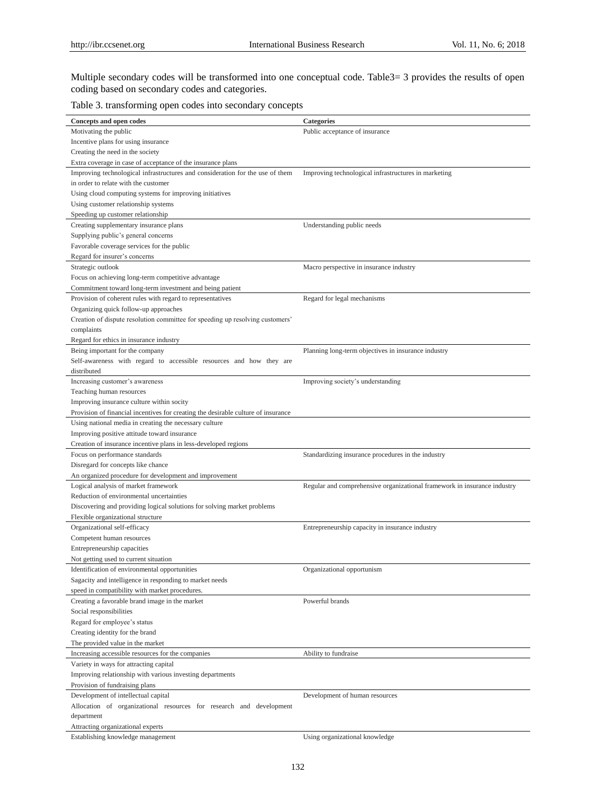Multiple secondary codes will be transformed into one conceptual code. Table3= 3 provides the results of open coding based on secondary codes and categories.

# Table 3. transforming open codes into secondary concepts

| Concepts and open codes                                                           | <b>Categories</b>                                                        |
|-----------------------------------------------------------------------------------|--------------------------------------------------------------------------|
| Motivating the public                                                             | Public acceptance of insurance                                           |
| Incentive plans for using insurance                                               |                                                                          |
| Creating the need in the society                                                  |                                                                          |
| Extra coverage in case of acceptance of the insurance plans                       |                                                                          |
| Improving technological infrastructures and consideration for the use of them     | Improving technological infrastructures in marketing                     |
| in order to relate with the customer                                              |                                                                          |
| Using cloud computing systems for improving initiatives                           |                                                                          |
| Using customer relationship systems                                               |                                                                          |
| Speeding up customer relationship                                                 |                                                                          |
| Creating supplementary insurance plans                                            | Understanding public needs                                               |
| Supplying public's general concerns                                               |                                                                          |
| Favorable coverage services for the public                                        |                                                                          |
| Regard for insurer's concerns                                                     |                                                                          |
| Strategic outlook                                                                 | Macro perspective in insurance industry                                  |
| Focus on achieving long-term competitive advantage                                |                                                                          |
| Commitment toward long-term investment and being patient                          |                                                                          |
| Provision of coherent rules with regard to representatives                        | Regard for legal mechanisms                                              |
| Organizing quick follow-up approaches                                             |                                                                          |
| Creation of dispute resolution committee for speeding up resolving customers'     |                                                                          |
| complaints                                                                        |                                                                          |
| Regard for ethics in insurance industry                                           |                                                                          |
| Being important for the company                                                   | Planning long-term objectives in insurance industry                      |
| Self-awareness with regard to accessible resources and how they are               |                                                                          |
| distributed                                                                       |                                                                          |
| Increasing customer's awareness                                                   | Improving society's understanding                                        |
| Teaching human resources                                                          |                                                                          |
| Improving insurance culture within socity                                         |                                                                          |
| Provision of financial incentives for creating the desirable culture of insurance |                                                                          |
| Using national media in creating the necessary culture                            |                                                                          |
| Improving positive attitude toward insurance                                      |                                                                          |
| Creation of insurance incentive plans in less-developed regions                   |                                                                          |
| Focus on performance standards                                                    | Standardizing insurance procedures in the industry                       |
| Disregard for concepts like chance                                                |                                                                          |
| An organized procedure for development and improvement                            |                                                                          |
| Logical analysis of market framework                                              | Regular and comprehensive organizational framework in insurance industry |
| Reduction of environmental uncertainties                                          |                                                                          |
| Discovering and providing logical solutions for solving market problems           |                                                                          |
| Flexible organizational structure                                                 |                                                                          |
| Organizational self-efficacy                                                      | Entrepreneurship capacity in insurance industry                          |
| Competent human resources                                                         |                                                                          |
| Entrepreneurship capacities                                                       |                                                                          |
| Not getting used to current situation                                             |                                                                          |
| Identification of environmental opportunities                                     | Organizational opportunism                                               |
| Sagacity and intelligence in responding to market needs                           |                                                                          |
| speed in compatibility with market procedures.                                    |                                                                          |
| Creating a favorable brand image in the market                                    | Powerful brands                                                          |
| Social responsibilities                                                           |                                                                          |
| Regard for employee's status                                                      |                                                                          |
| Creating identity for the brand                                                   |                                                                          |
| The provided value in the market                                                  |                                                                          |
| Increasing accessible resources for the companies                                 | Ability to fundraise                                                     |
| Variety in ways for attracting capital                                            |                                                                          |
| Improving relationship with various investing departments                         |                                                                          |
| Provision of fundraising plans                                                    |                                                                          |
|                                                                                   |                                                                          |
| Development of intellectual capital                                               | Development of human resources                                           |
| Allocation of organizational resources for research and development               |                                                                          |
| department<br>Attracting organizational experts                                   |                                                                          |
|                                                                                   |                                                                          |
| Establishing knowledge management                                                 | Using organizational knowledge                                           |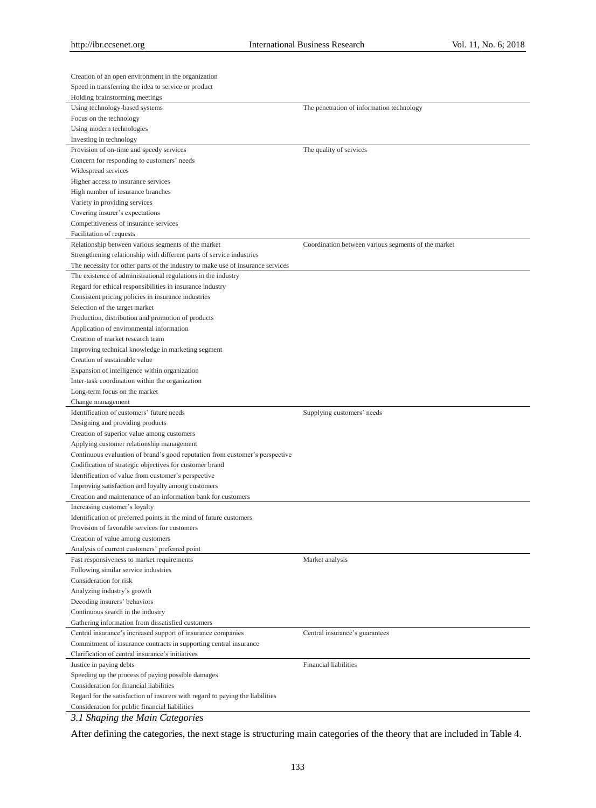| Creation of an open environment in the organization                             |                                                     |
|---------------------------------------------------------------------------------|-----------------------------------------------------|
| Speed in transferring the idea to service or product                            |                                                     |
| Holding brainstorming meetings                                                  |                                                     |
| Using technology-based systems                                                  | The penetration of information technology           |
| Focus on the technology                                                         |                                                     |
| Using modern technologies                                                       |                                                     |
| Investing in technology                                                         |                                                     |
| Provision of on-time and speedy services                                        | The quality of services                             |
| Concern for responding to customers' needs                                      |                                                     |
| Widespread services                                                             |                                                     |
| Higher access to insurance services                                             |                                                     |
| High number of insurance branches                                               |                                                     |
| Variety in providing services                                                   |                                                     |
| Covering insurer's expectations                                                 |                                                     |
| Competitiveness of insurance services                                           |                                                     |
| Facilitation of requests                                                        |                                                     |
| Relationship between various segments of the market                             | Coordination between various segments of the market |
| Strengthening relationship with different parts of service industries           |                                                     |
| The necessity for other parts of the industry to make use of insurance services |                                                     |
| The existence of administrational regulations in the industry                   |                                                     |
| Regard for ethical responsibilities in insurance industry                       |                                                     |
| Consistent pricing policies in insurance industries                             |                                                     |
| Selection of the target market                                                  |                                                     |
| Production, distribution and promotion of products                              |                                                     |
| Application of environmental information                                        |                                                     |
| Creation of market research team                                                |                                                     |
| Improving technical knowledge in marketing segment                              |                                                     |
| Creation of sustainable value                                                   |                                                     |
| Expansion of intelligence within organization                                   |                                                     |
| Inter-task coordination within the organization                                 |                                                     |
| Long-term focus on the market                                                   |                                                     |
| Change management                                                               |                                                     |
|                                                                                 |                                                     |
| Identification of customers' future needs                                       | Supplying customers' needs                          |
| Designing and providing products                                                |                                                     |
| Creation of superior value among customers                                      |                                                     |
| Applying customer relationship management                                       |                                                     |
| Continuous evaluation of brand's good reputation from customer's perspective    |                                                     |
| Codification of strategic objectives for customer brand                         |                                                     |
| Identification of value from customer's perspective                             |                                                     |
| Improving satisfaction and loyalty among customers                              |                                                     |
| Creation and maintenance of an information bank for customers                   |                                                     |
| Increasing customer's loyalty                                                   |                                                     |
| Identification of preferred points in the mind of future customers              |                                                     |
| Provision of favorable services for customers                                   |                                                     |
| Creation of value among customers                                               |                                                     |
| Analysis of current customers' preferred point                                  |                                                     |
| Fast responsiveness to market requirements                                      | Market analysis                                     |
| Following similar service industries                                            |                                                     |
| Consideration for risk                                                          |                                                     |
| Analyzing industry's growth                                                     |                                                     |
| Decoding insurers' behaviors                                                    |                                                     |
| Continuous search in the industry                                               |                                                     |
| Gathering information from dissatisfied customers                               |                                                     |
| Central insurance's increased support of insurance companies                    | Central insurance's guarantees                      |
| Commitment of insurance contracts in supporting central insurance               |                                                     |
| Clarification of central insurance's initiatives                                |                                                     |
| Justice in paying debts                                                         | Financial liabilities                               |
| Speeding up the process of paying possible damages                              |                                                     |
| Consideration for financial liabilities                                         |                                                     |
| Regard for the satisfaction of insurers with regard to paying the liabilities   |                                                     |

*3.1 Shaping the Main Categories*

After defining the categories, the next stage is structuring main categories of the theory that are included in Table 4.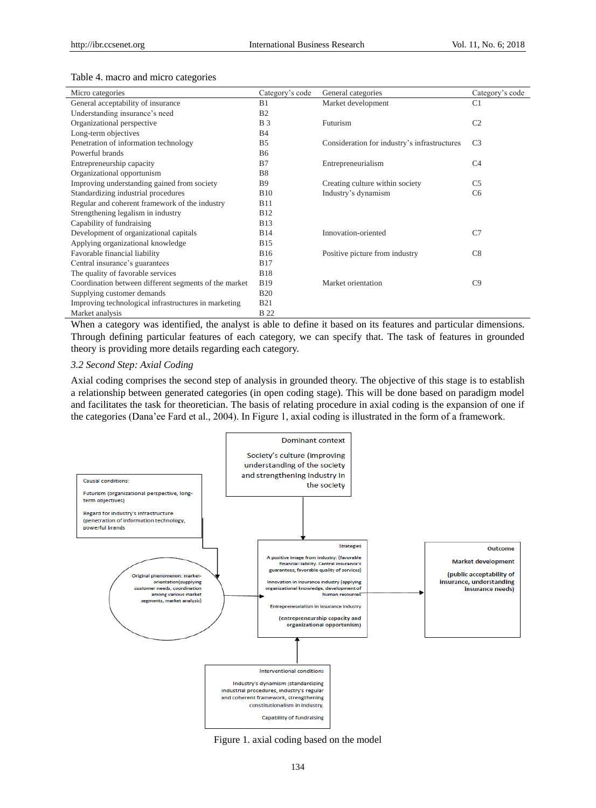#### Table 4. macro and micro categories

| Micro categories                                      | Category's code | General categories                           | Category's code |
|-------------------------------------------------------|-----------------|----------------------------------------------|-----------------|
| General acceptability of insurance                    | B1              | Market development                           | C <sub>1</sub>  |
| Understanding insurance's need                        | B <sub>2</sub>  |                                              |                 |
| Organizational perspective                            | <b>B</b> 3      | Futurism                                     | C <sub>2</sub>  |
| Long-term objectives                                  | <b>B4</b>       |                                              |                 |
| Penetration of information technology                 | B <sub>5</sub>  | Consideration for industry's infrastructures | C <sub>3</sub>  |
| Powerful brands                                       | <b>B6</b>       |                                              |                 |
| Entrepreneurship capacity                             | B7              | Entrepreneurialism                           | C <sub>4</sub>  |
| Organizational opportunism                            | <b>B8</b>       |                                              |                 |
| Improving understanding gained from society           | <b>B</b> 9      | Creating culture within society              | C <sub>5</sub>  |
| Standardizing industrial procedures                   | <b>B10</b>      | Industry's dynamism                          | C <sub>6</sub>  |
| Regular and coherent framework of the industry        | <b>B11</b>      |                                              |                 |
| Strengthening legalism in industry                    | <b>B12</b>      |                                              |                 |
| Capability of fundraising                             | <b>B13</b>      |                                              |                 |
| Development of organizational capitals                | <b>B14</b>      | Innovation-oriented                          | C7              |
| Applying organizational knowledge                     | <b>B15</b>      |                                              |                 |
| Favorable financial liability                         | <b>B16</b>      | Positive picture from industry               | C8              |
| Central insurance's guarantees                        | <b>B17</b>      |                                              |                 |
| The quality of favorable services                     | <b>B18</b>      |                                              |                 |
| Coordination between different segments of the market | <b>B19</b>      | Market orientation                           | C9              |
| Supplying customer demands                            | <b>B20</b>      |                                              |                 |
| Improving technological infrastructures in marketing  | <b>B21</b>      |                                              |                 |
| Market analysis                                       | <b>B</b> 22     |                                              |                 |

When a category was identified, the analyst is able to define it based on its features and particular dimensions. Through defining particular features of each category, we can specify that. The task of features in grounded theory is providing more details regarding each category.

# *3.2 Second Step: Axial Coding*

Axial coding comprises the second step of analysis in grounded theory. The objective of this stage is to establish a relationship between generated categories (in open coding stage). This will be done based on paradigm model and facilitates the task for theoretician. The basis of relating procedure in axial coding is the expansion of one if the categories (Dana'ee Fard et al., 2004). In Figure 1, axial coding is illustrated in the form of a framework.



Figure 1. axial coding based on the model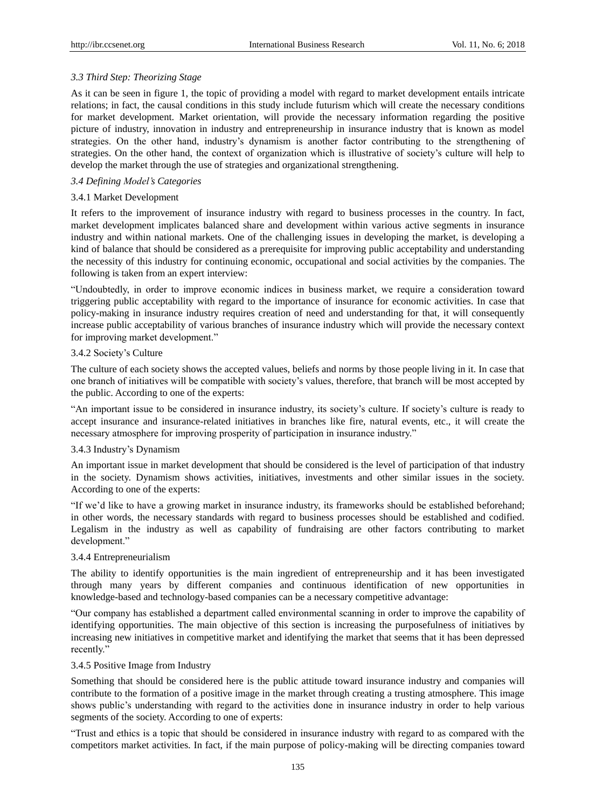# *3.3 Third Step: Theorizing Stage*

As it can be seen in figure 1, the topic of providing a model with regard to market development entails intricate relations; in fact, the causal conditions in this study include futurism which will create the necessary conditions for market development. Market orientation, will provide the necessary information regarding the positive picture of industry, innovation in industry and entrepreneurship in insurance industry that is known as model strategies. On the other hand, industry's dynamism is another factor contributing to the strengthening of strategies. On the other hand, the context of organization which is illustrative of society's culture will help to develop the market through the use of strategies and organizational strengthening.

# *3.4 Defining Model's Categories*

# 3.4.1 Market Development

It refers to the improvement of insurance industry with regard to business processes in the country. In fact, market development implicates balanced share and development within various active segments in insurance industry and within national markets. One of the challenging issues in developing the market, is developing a kind of balance that should be considered as a prerequisite for improving public acceptability and understanding the necessity of this industry for continuing economic, occupational and social activities by the companies. The following is taken from an expert interview:

"Undoubtedly, in order to improve economic indices in business market, we require a consideration toward triggering public acceptability with regard to the importance of insurance for economic activities. In case that policy-making in insurance industry requires creation of need and understanding for that, it will consequently increase public acceptability of various branches of insurance industry which will provide the necessary context for improving market development."

# 3.4.2 Society's Culture

The culture of each society shows the accepted values, beliefs and norms by those people living in it. In case that one branch of initiatives will be compatible with society's values, therefore, that branch will be most accepted by the public. According to one of the experts:

"An important issue to be considered in insurance industry, its society's culture. If society's culture is ready to accept insurance and insurance-related initiatives in branches like fire, natural events, etc., it will create the necessary atmosphere for improving prosperity of participation in insurance industry."

# 3.4.3 Industry's Dynamism

An important issue in market development that should be considered is the level of participation of that industry in the society. Dynamism shows activities, initiatives, investments and other similar issues in the society. According to one of the experts:

"If we'd like to have a growing market in insurance industry, its frameworks should be established beforehand; in other words, the necessary standards with regard to business processes should be established and codified. Legalism in the industry as well as capability of fundraising are other factors contributing to market development."

# 3.4.4 Entrepreneurialism

The ability to identify opportunities is the main ingredient of entrepreneurship and it has been investigated through many years by different companies and continuous identification of new opportunities in knowledge-based and technology-based companies can be a necessary competitive advantage:

"Our company has established a department called environmental scanning in order to improve the capability of identifying opportunities. The main objective of this section is increasing the purposefulness of initiatives by increasing new initiatives in competitive market and identifying the market that seems that it has been depressed recently."

# 3.4.5 Positive Image from Industry

Something that should be considered here is the public attitude toward insurance industry and companies will contribute to the formation of a positive image in the market through creating a trusting atmosphere. This image shows public's understanding with regard to the activities done in insurance industry in order to help various segments of the society. According to one of experts:

"Trust and ethics is a topic that should be considered in insurance industry with regard to as compared with the competitors market activities. In fact, if the main purpose of policy-making will be directing companies toward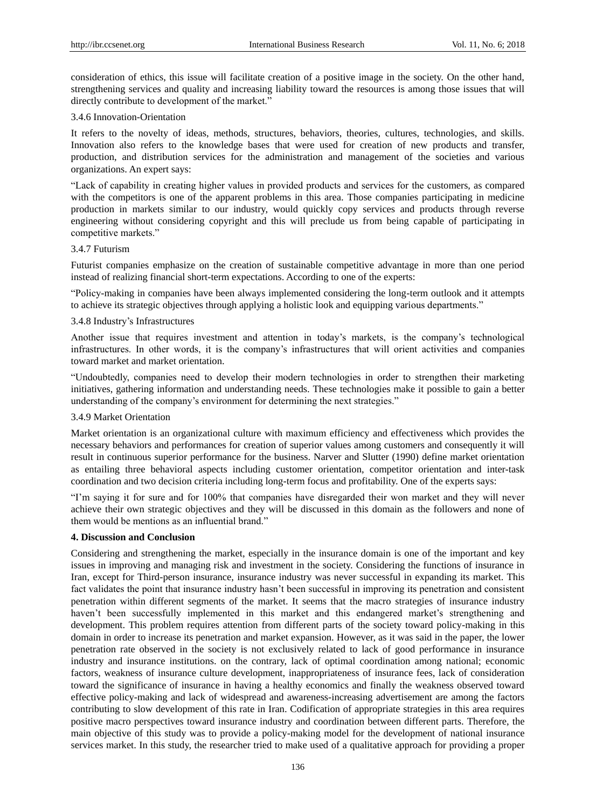consideration of ethics, this issue will facilitate creation of a positive image in the society. On the other hand, strengthening services and quality and increasing liability toward the resources is among those issues that will directly contribute to development of the market."

#### 3.4.6 Innovation-Orientation

It refers to the novelty of ideas, methods, structures, behaviors, theories, cultures, technologies, and skills. Innovation also refers to the knowledge bases that were used for creation of new products and transfer, production, and distribution services for the administration and management of the societies and various organizations. An expert says:

"Lack of capability in creating higher values in provided products and services for the customers, as compared with the competitors is one of the apparent problems in this area. Those companies participating in medicine production in markets similar to our industry, would quickly copy services and products through reverse engineering without considering copyright and this will preclude us from being capable of participating in competitive markets."

#### 3.4.7 Futurism

Futurist companies emphasize on the creation of sustainable competitive advantage in more than one period instead of realizing financial short-term expectations. According to one of the experts:

"Policy-making in companies have been always implemented considering the long-term outlook and it attempts to achieve its strategic objectives through applying a holistic look and equipping various departments."

#### 3.4.8 Industry's Infrastructures

Another issue that requires investment and attention in today's markets, is the company's technological infrastructures. In other words, it is the company's infrastructures that will orient activities and companies toward market and market orientation.

"Undoubtedly, companies need to develop their modern technologies in order to strengthen their marketing initiatives, gathering information and understanding needs. These technologies make it possible to gain a better understanding of the company's environment for determining the next strategies."

# 3.4.9 Market Orientation

Market orientation is an organizational culture with maximum efficiency and effectiveness which provides the necessary behaviors and performances for creation of superior values among customers and consequently it will result in continuous superior performance for the business. Narver and Slutter (1990) define market orientation as entailing three behavioral aspects including customer orientation, competitor orientation and inter-task coordination and two decision criteria including long-term focus and profitability. One of the experts says:

"I'm saying it for sure and for 100% that companies have disregarded their won market and they will never achieve their own strategic objectives and they will be discussed in this domain as the followers and none of them would be mentions as an influential brand."

# **4. Discussion and Conclusion**

Considering and strengthening the market, especially in the insurance domain is one of the important and key issues in improving and managing risk and investment in the society. Considering the functions of insurance in Iran, except for Third-person insurance, insurance industry was never successful in expanding its market. This fact validates the point that insurance industry hasn't been successful in improving its penetration and consistent penetration within different segments of the market. It seems that the macro strategies of insurance industry haven't been successfully implemented in this market and this endangered market's strengthening and development. This problem requires attention from different parts of the society toward policy-making in this domain in order to increase its penetration and market expansion. However, as it was said in the paper, the lower penetration rate observed in the society is not exclusively related to lack of good performance in insurance industry and insurance institutions. on the contrary, lack of optimal coordination among national; economic factors, weakness of insurance culture development, inappropriateness of insurance fees, lack of consideration toward the significance of insurance in having a healthy economics and finally the weakness observed toward effective policy-making and lack of widespread and awareness-increasing advertisement are among the factors contributing to slow development of this rate in Iran. Codification of appropriate strategies in this area requires positive macro perspectives toward insurance industry and coordination between different parts. Therefore, the main objective of this study was to provide a policy-making model for the development of national insurance services market. In this study, the researcher tried to make used of a qualitative approach for providing a proper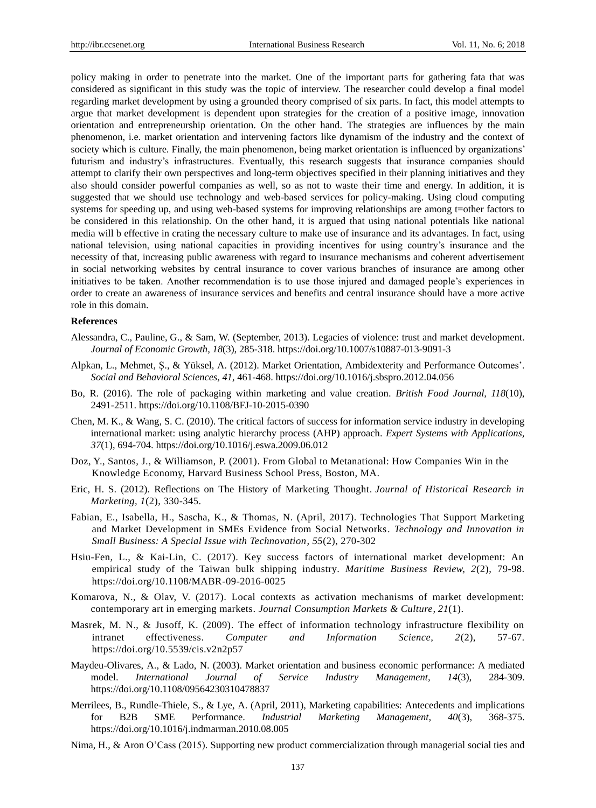policy making in order to penetrate into the market. One of the important parts for gathering fata that was considered as significant in this study was the topic of interview. The researcher could develop a final model regarding market development by using a grounded theory comprised of six parts. In fact, this model attempts to argue that market development is dependent upon strategies for the creation of a positive image, innovation orientation and entrepreneurship orientation. On the other hand. The strategies are influences by the main phenomenon, i.e. market orientation and intervening factors like dynamism of the industry and the context of society which is culture. Finally, the main phenomenon, being market orientation is influenced by organizations' futurism and industry's infrastructures. Eventually, this research suggests that insurance companies should attempt to clarify their own perspectives and long-term objectives specified in their planning initiatives and they also should consider powerful companies as well, so as not to waste their time and energy. In addition, it is suggested that we should use technology and web-based services for policy-making. Using cloud computing systems for speeding up, and using web-based systems for improving relationships are among t=other factors to be considered in this relationship. On the other hand, it is argued that using national potentials like national media will b effective in crating the necessary culture to make use of insurance and its advantages. In fact, using national television, using national capacities in providing incentives for using country's insurance and the necessity of that, increasing public awareness with regard to insurance mechanisms and coherent advertisement in social networking websites by central insurance to cover various branches of insurance are among other initiatives to be taken. Another recommendation is to use those injured and damaged people's experiences in order to create an awareness of insurance services and benefits and central insurance should have a more active role in this domain.

#### **References**

- Alessandra, C., Pauline, G., & Sam, W. (September, 2013). Legacies of violence: trust and market development. *[Journal of Economic Growth,](https://link.springer.com/journal/10887) 18*(3), 285-318. https://doi.org/10.1007/s10887-013-9091-3
- Alpkan, L., Mehmet, Ş., & Yüksel, A. (2012). Market Orientation, Ambidexterity and Performance Outcomes'. *Social and Behavioral Sciences, 41,* 461-468. https://doi.org/10.1016/j.sbspro.2012.04.056
- Bo, R. (2016). The role of packaging within marketing and value creation. *British Food Journal, 118*(10), 2491-2511. https://doi.org/10.1108/BFJ-10-2015-0390
- Chen, M. K., & Wang, S. C. (2010). The critical factors of success for information service industry in developing international market: using analytic hierarchy process (AHP) approach. *Expert Systems with Applications, 37*(1), 694-704. https://doi.org/10.1016/j.eswa.2009.06.012
- Doz, Y., Santos, J., & Williamson, P. (2001). From Global to Metanational: How Companies Win in the Knowledge Economy, Harvard Business School Press, Boston, MA.
- Eric, H. S. (2012). Reflections on The History of Marketing Thought. *Journal of Historical Research in Marketing, 1*(2), 330-345.
- Fabian, E., Isabella, H., Sascha, K., & Thomas, N. (April, 2017). Technologies That Support Marketing and Market Development in SMEs Evidence from Social Networks. *Technology and Innovation in Small Business: A Special Issue with Technovation, 55*(2), 270-302
- Hsiu-Fen, L., & Kai-Lin, C. (2017). Key success factors of international market development: An empirical study of the Taiwan bulk shipping industry. *Maritime Business Review, 2*(2), 79-98. https://doi.org/10.1108/MABR-09-2016-0025
- [Komarova,](http://www.tandfonline.com/author/Komarova%2C+Nataliya) N., & [Olav,](http://www.tandfonline.com/author/Velthuis%2C+Olav) V. (2017). Local contexts as activation mechanisms of market development: contemporary art in emerging markets. *Journal [Consumption Markets & Culture,](http://www.tandfonline.com/toc/gcmc20/current) 21*(1).
- Masrek, M. N., & Jusoff, K. (2009). The effect of information technology infrastructure flexibility on intranet effectiveness. *Computer and Information Science, 2*(2), 57-67. https://doi.org/10.5539/cis.v2n2p57
- Maydeu-Olivares, A., & Lado, N. (2003). Market orientation and business economic performance: A mediated model. *International Journal of Service Industry Management, 14*(3), 284-309. https://doi.org/10.1108/09564230310478837
- Merrilees, B., Rundle-Thiele, S., & Lye, A. (April, 2011), Marketing capabilities: Antecedents and implications for B2B SME Performance. *Industrial Marketing Management, 40*(3), 368-375. https://doi.org/10.1016/j.indmarman.2010.08.005
- Nima, H., & Aron O'Cass (2015). Supporting new product commercialization through managerial social ties and